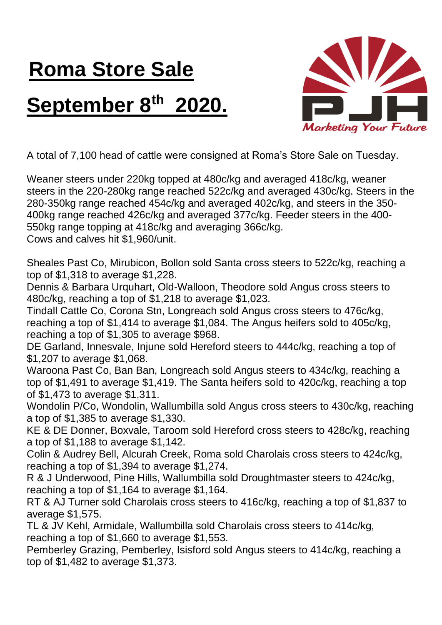## **Roma Store Sale September 8 th 2020.**



A total of 7,100 head of cattle were consigned at Roma's Store Sale on Tuesday.

Weaner steers under 220kg topped at 480c/kg and averaged 418c/kg, weaner steers in the 220-280kg range reached 522c/kg and averaged 430c/kg. Steers in the 280-350kg range reached 454c/kg and averaged 402c/kg, and steers in the 350- 400kg range reached 426c/kg and averaged 377c/kg. Feeder steers in the 400- 550kg range topping at 418c/kg and averaging 366c/kg. Cows and calves hit \$1,960/unit.

Sheales Past Co, Mirubicon, Bollon sold Santa cross steers to 522c/kg, reaching a top of \$1,318 to average \$1,228.

Dennis & Barbara Urquhart, Old-Walloon, Theodore sold Angus cross steers to 480c/kg, reaching a top of \$1,218 to average \$1,023.

Tindall Cattle Co, Corona Stn, Longreach sold Angus cross steers to 476c/kg, reaching a top of \$1,414 to average \$1,084. The Angus heifers sold to 405c/kg, reaching a top of \$1,305 to average \$968.

DE Garland, Innesvale, Injune sold Hereford steers to 444c/kg, reaching a top of \$1,207 to average \$1,068.

Waroona Past Co, Ban Ban, Longreach sold Angus steers to 434c/kg, reaching a top of \$1,491 to average \$1,419. The Santa heifers sold to 420c/kg, reaching a top of \$1,473 to average \$1,311.

Wondolin P/Co, Wondolin, Wallumbilla sold Angus cross steers to 430c/kg, reaching a top of \$1,385 to average \$1,330.

KE & DE Donner, Boxvale, Taroom sold Hereford cross steers to 428c/kg, reaching a top of \$1,188 to average \$1,142.

Colin & Audrey Bell, Alcurah Creek, Roma sold Charolais cross steers to 424c/kg, reaching a top of \$1,394 to average \$1,274.

R & J Underwood, Pine Hills, Wallumbilla sold Droughtmaster steers to 424c/kg, reaching a top of \$1,164 to average \$1,164.

RT & AJ Turner sold Charolais cross steers to 416c/kg, reaching a top of \$1,837 to average \$1,575.

TL & JV Kehl, Armidale, Wallumbilla sold Charolais cross steers to 414c/kg, reaching a top of \$1,660 to average \$1,553.

Pemberley Grazing, Pemberley, Isisford sold Angus steers to 414c/kg, reaching a top of \$1,482 to average \$1,373.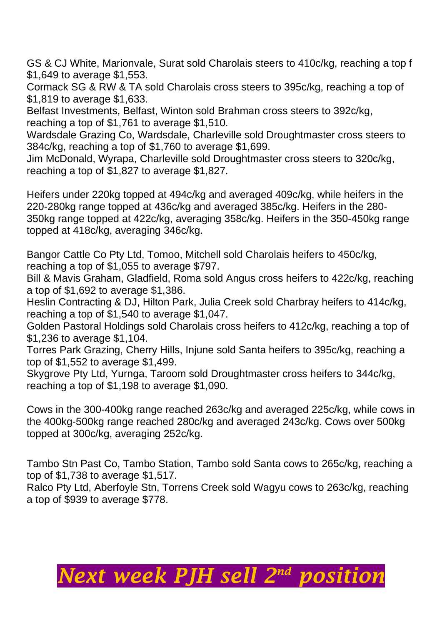GS & CJ White, Marionvale, Surat sold Charolais steers to 410c/kg, reaching a top f \$1,649 to average \$1,553.

Cormack SG & RW & TA sold Charolais cross steers to 395c/kg, reaching a top of \$1,819 to average \$1,633.

Belfast Investments, Belfast, Winton sold Brahman cross steers to 392c/kg, reaching a top of \$1,761 to average \$1,510.

Wardsdale Grazing Co, Wardsdale, Charleville sold Droughtmaster cross steers to 384c/kg, reaching a top of \$1,760 to average \$1,699.

Jim McDonald, Wyrapa, Charleville sold Droughtmaster cross steers to 320c/kg, reaching a top of \$1,827 to average \$1,827.

Heifers under 220kg topped at 494c/kg and averaged 409c/kg, while heifers in the 220-280kg range topped at 436c/kg and averaged 385c/kg. Heifers in the 280- 350kg range topped at 422c/kg, averaging 358c/kg. Heifers in the 350-450kg range topped at 418c/kg, averaging 346c/kg.

Bangor Cattle Co Pty Ltd, Tomoo, Mitchell sold Charolais heifers to 450c/kg, reaching a top of \$1,055 to average \$797.

Bill & Mavis Graham, Gladfield, Roma sold Angus cross heifers to 422c/kg, reaching a top of \$1,692 to average \$1,386.

Heslin Contracting & DJ, Hilton Park, Julia Creek sold Charbray heifers to 414c/kg, reaching a top of \$1,540 to average \$1,047.

Golden Pastoral Holdings sold Charolais cross heifers to 412c/kg, reaching a top of \$1,236 to average \$1,104.

Torres Park Grazing, Cherry Hills, Injune sold Santa heifers to 395c/kg, reaching a top of \$1,552 to average \$1,499.

Skygrove Pty Ltd, Yurnga, Taroom sold Droughtmaster cross heifers to 344c/kg, reaching a top of \$1,198 to average \$1,090.

Cows in the 300-400kg range reached 263c/kg and averaged 225c/kg, while cows in the 400kg-500kg range reached 280c/kg and averaged 243c/kg. Cows over 500kg topped at 300c/kg, averaging 252c/kg.

Tambo Stn Past Co, Tambo Station, Tambo sold Santa cows to 265c/kg, reaching a top of \$1,738 to average \$1,517.

Ralco Pty Ltd, Aberfoyle Stn, Torrens Creek sold Wagyu cows to 263c/kg, reaching a top of \$939 to average \$778.

## *Next week PJH sell 2 nd position*